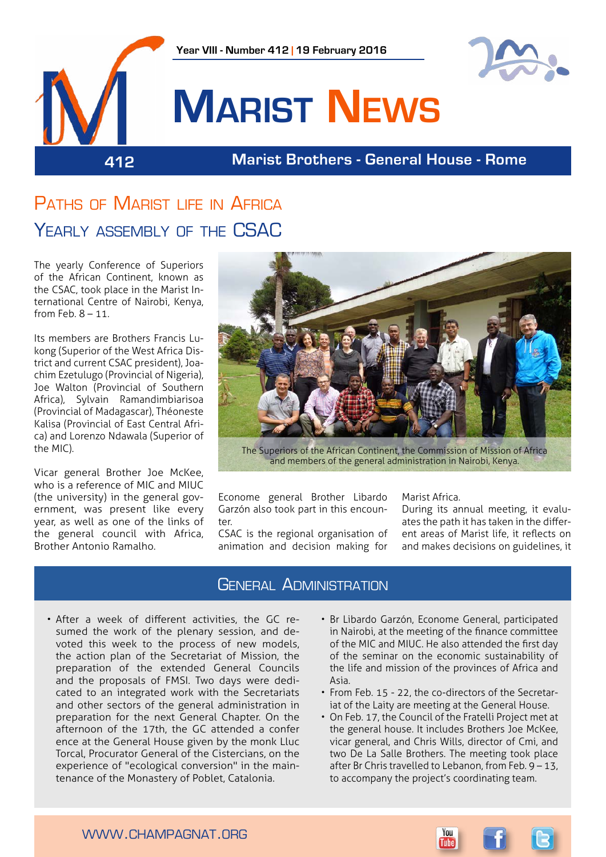

# PATHS OF MARIST LIFE IN AFRICA YEARLY ASSEMBLY OF THE CSAC

The yearly Conference of Superiors of the African Continent, known as the CSAC, took place in the Marist International Centre of Nairobi, Kenya, from Feb. 8 – 11.

Its members are Brothers Francis Lukong (Superior of the West Africa District and current CSAC president), Joachim Ezetulugo (Provincial of Nigeria), Joe Walton (Provincial of Southern Africa), Sylvain Ramandimbiarisoa (Provincial of Madagascar), Théoneste Kalisa (Provincial of East Central Africa) and Lorenzo Ndawala (Superior of the MIC).

Vicar general Brother Joe McKee, who is a reference of MIC and MIUC (the university) in the general government, was present like every year, as well as one of the links of the general council with Africa, Brother Antonio Ramalho.



The Superiors of the African Continent, the Commission of Mission of Africa and members of the general administration in Nairobi, Kenya.

Econome general Brother Libardo Garzón also took part in this encounter.

CSAC is the regional organisation of animation and decision making for Marist Africa.

During its annual meeting, it evaluates the path it has taken in the different areas of Marist life, it reflects on and makes decisions on guidelines, it

#### General Administration

- After a week of different activities, the GC resumed the work of the plenary session, and devoted this week to the process of new models, the action plan of the Secretariat of Mission, the preparation of the extended General Councils and the proposals of FMSI. Two days were dedicated to an integrated work with the Secretariats and other sectors of the general administration in preparation for the next General Chapter. On the afternoon of the 17th, the GC attended a confer ence at the General House given by the monk Lluc Torcal, Procurator General of the Cistercians, on the experience of "ecological conversion" in the maintenance of the Monastery of Poblet, Catalonia.
- Br Libardo Garzón, Econome General, participated in Nairobi, at the meeting of the finance committee of the MIC and MIUC. He also attended the first day of the seminar on the economic sustainability of the life and mission of the provinces of Africa and Asia.
- From Feb. 15 22, the co-directors of the Secretariat of the Laity are meeting at the General House.
- On Feb. 17, the Council of the Fratelli Project met at the general house. It includes Brothers Joe McKee, vicar general, and Chris Wills, director of Cmi, and two De La Salle Brothers. The meeting took place after Br Chris travelled to Lebanon, from Feb. 9 – 13, to accompany the project's coordinating team.

You

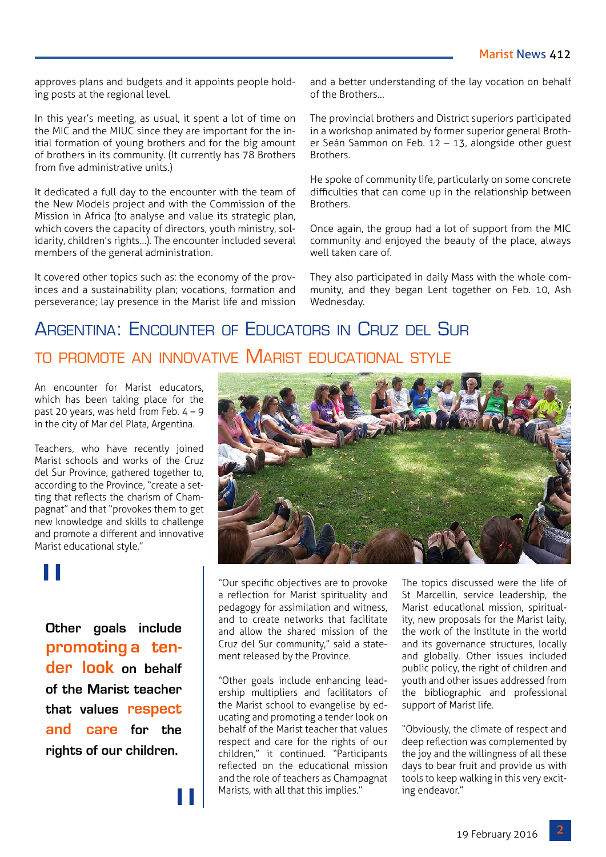approves plans and budgets and it appoints people holding posts at the regional level.

In this year's meeting, as usual, it spent a lot of time on the MIC and the MIUC since they are important for the initial formation of young brothers and for the big amount of brothers in its community. (It currently has 78 Brothers from five administrative units.)

It dedicated a full day to the encounter with the team of the New Models project and with the Commission of the Mission in Africa (to analyse and value its strategic plan, which covers the capacity of directors, youth ministry, solidarity, children's rights…). The encounter included several members of the general administration.

It covered other topics such as: the economy of the provinces and a sustainability plan; vocations, formation and perseverance; lay presence in the Marist life and mission

and a better understanding of the lay vocation on behalf of the Brothers…

The provincial brothers and District superiors participated in a workshop animated by former superior general Brother Seán Sammon on Feb. 12 – 13, alongside other guest **Brothers** 

He spoke of community life, particularly on some concrete difficulties that can come up in the relationship between Brothers.

Once again, the group had a lot of support from the MIC community and enjoyed the beauty of the place, always well taken care of.

They also participated in daily Mass with the whole community, and they began Lent together on Feb. 10, Ash Wednesday.

### Argentina: Encounter of Educators in Cruz del Sur to promote an innovative Marist educational style

An encounter for Marist educators, which has been taking place for the past 20 years, was held from Feb.  $4 - 9$ in the city of Mar del Plata, Argentina.

Teachers, who have recently joined Marist schools and works of the Cruz del Sur Province, gathered together to, according to the Province, "create a setting that reflects the charism of Champagnat" and that "provokes them to get new knowledge and skills to challenge and promote a different and innovative Marist educational style."

# "

**Other goals include promoting a tender look on behalf of the Marist teacher that values respect and care for the rights of our children.**

"



"Our specific objectives are to provoke a reflection for Marist spirituality and pedagogy for assimilation and witness, and to create networks that facilitate and allow the shared mission of the Cruz del Sur community," said a statement released by the Province.

"Other goals include enhancing leadership multipliers and facilitators of the Marist school to evangelise by educating and promoting a tender look on behalf of the Marist teacher that values respect and care for the rights of our children," it continued. "Participants reflected on the educational mission and the role of teachers as Champagnat Marists, with all that this implies."

The topics discussed were the life of St Marcellin, service leadership, the Marist educational mission, spirituality, new proposals for the Marist laity, the work of the Institute in the world and its governance structures, locally and globally. Other issues included public policy, the right of children and youth and other issues addressed from the bibliographic and professional support of Marist life.

"Obviously, the climate of respect and deep reflection was complemented by the joy and the willingness of all these days to bear fruit and provide us with tools to keep walking in this very exciting endeavor."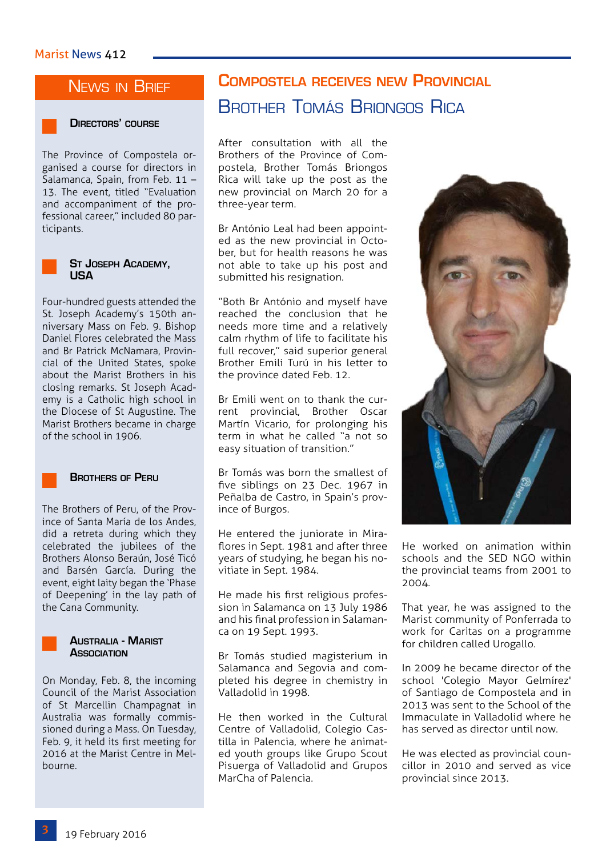#### NEWS IN BRIEF



#### **Directors' course**

The Province of Compostela organised a course for directors in Salamanca, Spain, from Feb. 11 – 13. The event, titled "Evaluation and accompaniment of the professional career," included 80 participants.



# **St Joseph Academy, USA**

Four-hundred guests attended the St. Joseph Academy's 150th anniversary Mass on Feb. 9. Bishop Daniel Flores celebrated the Mass and Br Patrick McNamara, Provincial of the United States, spoke about the Marist Brothers in his closing remarks. St Joseph Academy is a Catholic high school in the Diocese of St Augustine. The Marist Brothers became in charge of the school in 1906.



#### **Brothers of Peru**

The Brothers of Peru, of the Province of Santa María de los Andes, did a retreta during which they celebrated the jubilees of the Brothers Alonso Beraún, José Ticó and Barsén García. During the event, eight laity began the 'Phase of Deepening' in the lay path of the Cana Community.



On Monday, Feb. 8, the incoming Council of the Marist Association of St Marcellin Champagnat in Australia was formally commissioned during a Mass. On Tuesday,

Feb. 9, it held its first meeting for 2016 at the Marist Centre in Melbourne.

## **Compostela receives new Provincial**  Brother Tomás Briongos Rica

After consultation with all the Brothers of the Province of Compostela, Brother Tomás Briongos Rica will take up the post as the new provincial on March 20 for a three-year term.

Br António Leal had been appointed as the new provincial in October, but for health reasons he was not able to take up his post and submitted his resignation.

"Both Br António and myself have reached the conclusion that he needs more time and a relatively calm rhythm of life to facilitate his full recover," said superior general Brother Emili Turú in his letter to the province dated Feb. 12.

Br Emili went on to thank the current provincial, Brother Oscar Martín Vicario, for prolonging his term in what he called "a not so easy situation of transition."

Br Tomás was born the smallest of five siblings on 23 Dec. 1967 in Peñalba de Castro, in Spain's province of Burgos.

He entered the juniorate in Miraflores in Sept. 1981 and after three years of studying, he began his novitiate in Sept. 1984.

He made his first religious profession in Salamanca on 13 July 1986 and his final profession in Salamanca on 19 Sept. 1993.

Br Tomás studied magisterium in Salamanca and Segovia and completed his degree in chemistry in Valladolid in 1998.

He then worked in the Cultural Centre of Valladolid, Colegio Castilla in Palencia, where he animated youth groups like Grupo Scout Pisuerga of Valladolid and Grupos MarCha of Palencia.



He worked on animation within schools and the SED NGO within the provincial teams from 2001 to 2004.

That year, he was assigned to the Marist community of Ponferrada to work for Caritas on a programme for children called Urogallo.

In 2009 he became director of the school 'Colegio Mayor Gelmírez' of Santiago de Compostela and in 2013 was sent to the School of the Immaculate in Valladolid where he has served as director until now.

He was elected as provincial councillor in 2010 and served as vice provincial since 2013.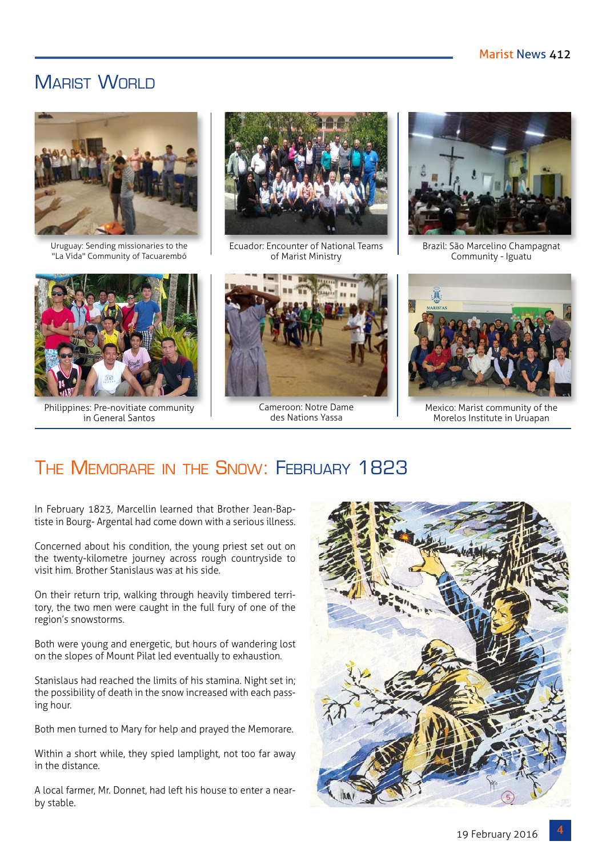### MARIST WORLD



Uruguay: Sending missionaries to the "La Vida" Community of Tacuarembó



Philippines: Pre-novitiate community in General Santos



Ecuador: Encounter of National Teams of Marist Ministry



Cameroon: Notre Dame des Nations Yassa



Brazil: São Marcelino Champagnat Community - Iguatu



Mexico: Marist community of the Morelos Institute in Uruapan

# The Memorare in the Snow: February 1823

In February 1823, Marcellin learned that Brother Jean-Baptiste in Bourg- Argental had come down with a serious illness.

Concerned about his condition, the young priest set out on the twenty-kilometre journey across rough countryside to visit him. Brother Stanislaus was at his side.

On their return trip, walking through heavily timbered territory, the two men were caught in the full fury of one of the region's snowstorms.

Both were young and energetic, but hours of wandering lost on the slopes of Mount Pilat led eventually to exhaustion.

Stanislaus had reached the limits of his stamina. Night set in; the possibility of death in the snow increased with each passing hour.

Both men turned to Mary for help and prayed the Memorare.

Within a short while, they spied lamplight, not too far away in the distance.

A local farmer, Mr. Donnet, had left his house to enter a nearby stable.

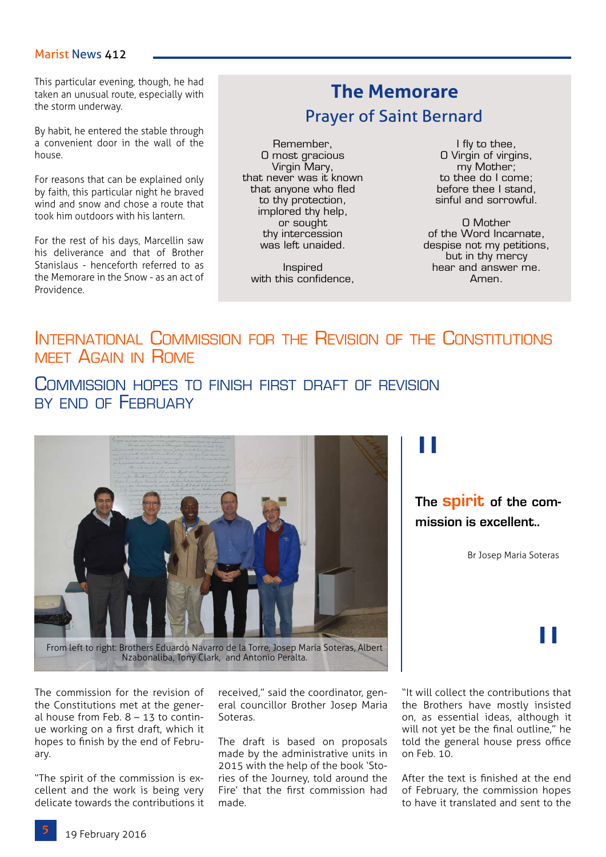#### Marist News 412

**This particular evening, though, he had**<br>taken an unusual route, especially with **The Memorare** taken an unusual route, especially with the storm underway.

By habit, he entered the stable through a convenient door in the wall of the house.

For reasons that can be explained only by faith, this particular night he braved wind and snow and chose a route that took him outdoors with his lantern.

For the rest of his days, Marcellin saw his deliverance and that of Brother Stanislaus - henceforth referred to as the Memorare in the Snow - as an act of Providence.

# Prayer of Saint Bernard

Remember, O most gracious Virgin Mary, that never was it known that anyone who fled to thy protection, implored thy help, or sought thy intercession was left unaided.

Inspired with this confidence,

I fly to thee, O Virgin of virgins, my Mother; to thee do I come; before thee I stand, sinful and sorrowful.

O Mother of the Word Incarnate, despise not my petitions, but in thy mercy hear and answer me. Amen.

#### International Commission for the Revision of the Constitutions meet Again in Rome

COMMISSION HOPES TO FINISH FIRST DRAFT OF REVISION BY END OF FFRRIJARY



Nzabonaliba, Tony Clark, and Antonio Peralta.

The commission for the revision of the Constitutions met at the general house from Feb. 8 – 13 to continue working on a first draft, which it hopes to finish by the end of February.

"The spirit of the commission is excellent and the work is being very delicate towards the contributions it

received," said the coordinator, general councillor Brother Josep Maria Soteras.

The draft is based on proposals made by the administrative units in 2015 with the help of the book 'Stories of the Journey, told around the Fire' that the first commission had made.

"

#### **The spirit of the commission is excellent..**

Br Josep Maria Soteras

"It will collect the contributions that the Brothers have mostly insisted on, as essential ideas, although it will not yet be the final outline," he told the general house press office on Feb. 10.

After the text is finished at the end of February, the commission hopes to have it translated and sent to the